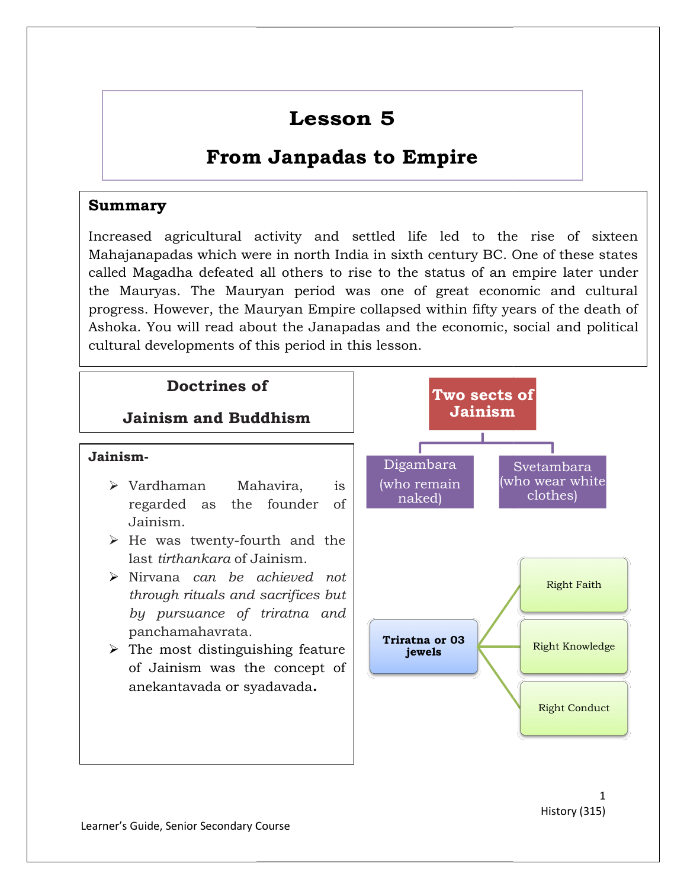# Lesson 5

## From Janpadas to Empire to Empire

#### Summary

Increased agricultural activity and settled life led to the rise of sixteen Mahajanapadas which were in north India in sixth century BC. One of these states called Magadha defeated all others to rise to the Mauryas. The Mauryan period was one of great economic and cultural progress. However, the Mauryan Empire collapsed within fifty years of the death of Ashoka. You will read about the Janapadas and the economic, social cultural developments of this period in this lesson. ivity and settled life led to the rise of sixteen<br>in north India in sixth century BC. One of these states<br>others to rise to the status of an empire later under Mauryas. The Mauryan period was one of great economic and cultural ress. However, the Mauryan Empire collapsed within fifty years of the death of ka. You will read about the Janapadas and the economic, social and political empire later under<br>bomic and cultural<br>ears of the death of<br>social and political

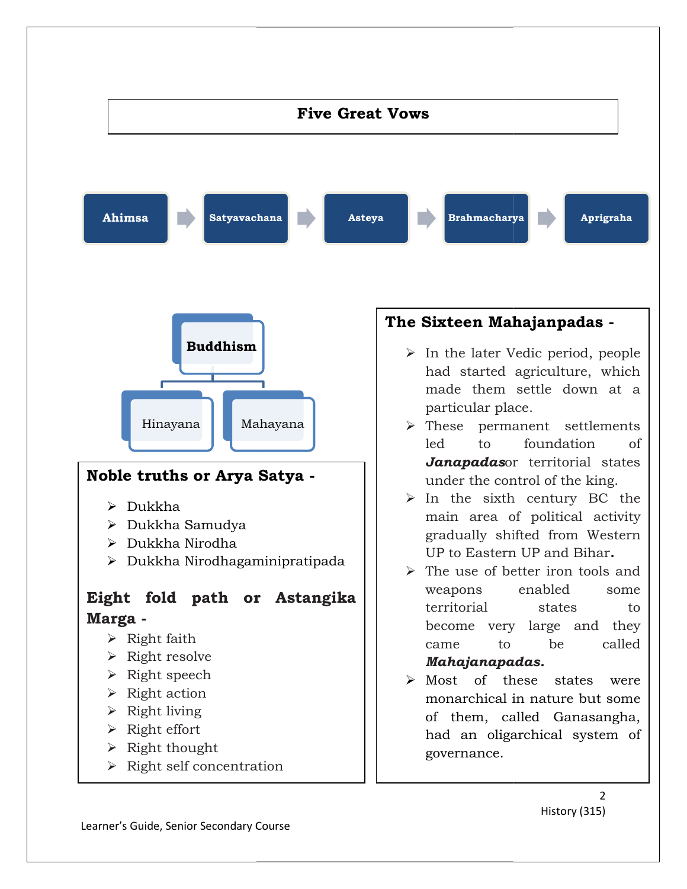

History (315)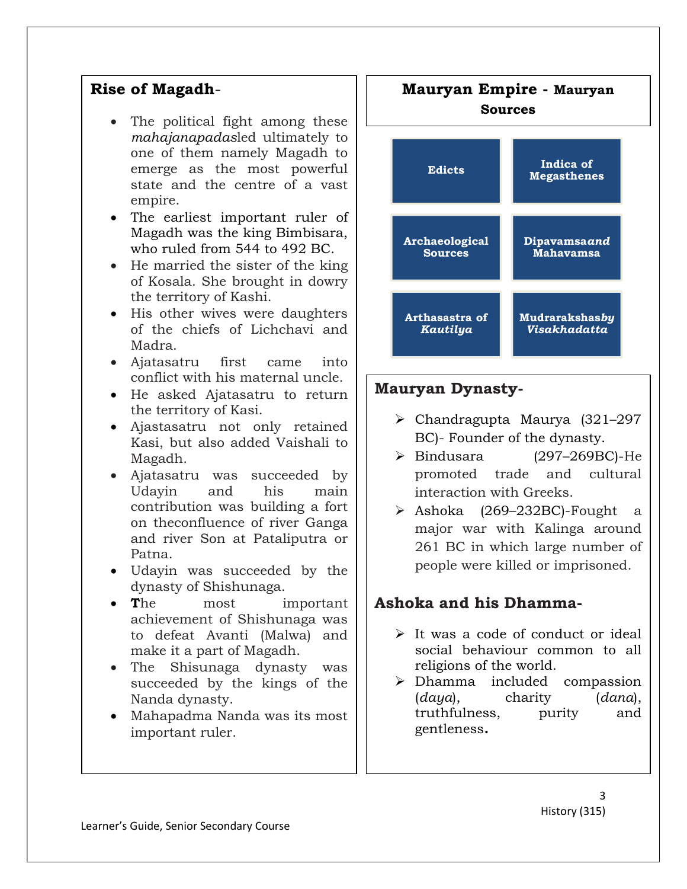#### Rise of Magadh-

- The political fight among these mahajanapadasled ultimately to one of them namely Magadh to emerge as the most powerful state and the centre of a vast empire.
- The earliest important ruler of Magadh was the king Bimbisara, who ruled from 544 to 492 BC.
- He married the sister of the king of Kosala. She brought in dowry the territory of Kashi.
- His other wives were daughters of the chiefs of Lichchavi and Madra.
- Ajatasatru first came into conflict with his maternal uncle.
- He asked Ajatasatru to return the territory of Kasi.
- Ajastasatru not only retained Kasi, but also added Vaishali to Magadh.
- Ajatasatru was succeeded by Udayin and his main contribution was building a fort on theconfluence of river Ganga and river Son at Pataliputra or Patna.
- Udayin was succeeded by the dynasty of Shishunaga.
- The most important achievement of Shishunaga was to defeat Avanti (Malwa) and make it a part of Magadh.
- The Shisunaga dynasty was succeeded by the kings of the Nanda dynasty.
- Mahapadma Nanda was its most important ruler.



#### Mauryan Dynasty-

- Chandragupta Maurya (321–297 BC)- Founder of the dynasty.
- $\triangleright$  Bindusara (297–269BC)-He promoted trade and cultural interaction with Greeks.
- Ashoka (269–232BC)-Fought a major war with Kalinga around 261 BC in which large number of people were killed or imprisoned.

#### Ashoka and his Dhamma-

- $\triangleright$  It was a code of conduct or ideal social behaviour common to all religions of the world.
- Dhamma included compassion (daya), charity (dana), truthfulness, purity and gentleness.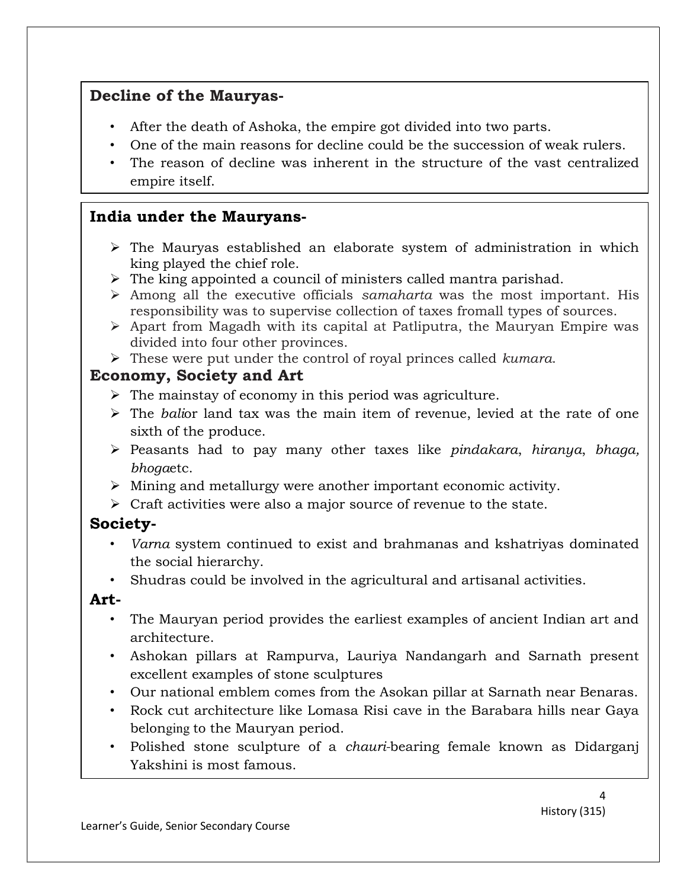#### Decline of the Mauryas-

- After the death of Ashoka, the empire got divided into two parts.
- One of the main reasons for decline could be the succession of weak rulers.
- The reason of decline was inherent in the structure of the vast centralized empire itself.

#### India under the Mauryans-

- $\triangleright$  The Mauryas established an elaborate system of administration in which king played the chief role.
- $\triangleright$  The king appointed a council of ministers called mantra parishad.
- $\triangleright$  Among all the executive officials samaharta was the most important. His responsibility was to supervise collection of taxes fromall types of sources.
- $\triangleright$  Apart from Magadh with its capital at Patliputra, the Mauryan Empire was divided into four other provinces.
- $\triangleright$  These were put under the control of royal princes called *kumara*.

#### Economy, Society and Art

- $\triangleright$  The mainstay of economy in this period was agriculture.
- $\triangleright$  The balior land tax was the main item of revenue, levied at the rate of one sixth of the produce.
- $\triangleright$  Peasants had to pay many other taxes like pindakara, hiranya, bhaga, bhogaetc.
- Mining and metallurgy were another important economic activity.
- $\triangleright$  Craft activities were also a major source of revenue to the state.

### Society-

- Varna system continued to exist and brahmanas and kshatriyas dominated the social hierarchy.
- Shudras could be involved in the agricultural and artisanal activities.

#### Art-

- The Mauryan period provides the earliest examples of ancient Indian art and architecture.
- Ashokan pillars at Rampurva, Lauriya Nandangarh and Sarnath present excellent examples of stone sculptures
- Our national emblem comes from the Asokan pillar at Sarnath near Benaras.
- Rock cut architecture like Lomasa Risi cave in the Barabara hills near Gaya belonging to the Mauryan period.
- Polished stone sculpture of a *chauri*-bearing female known as Didarganj Yakshini is most famous.